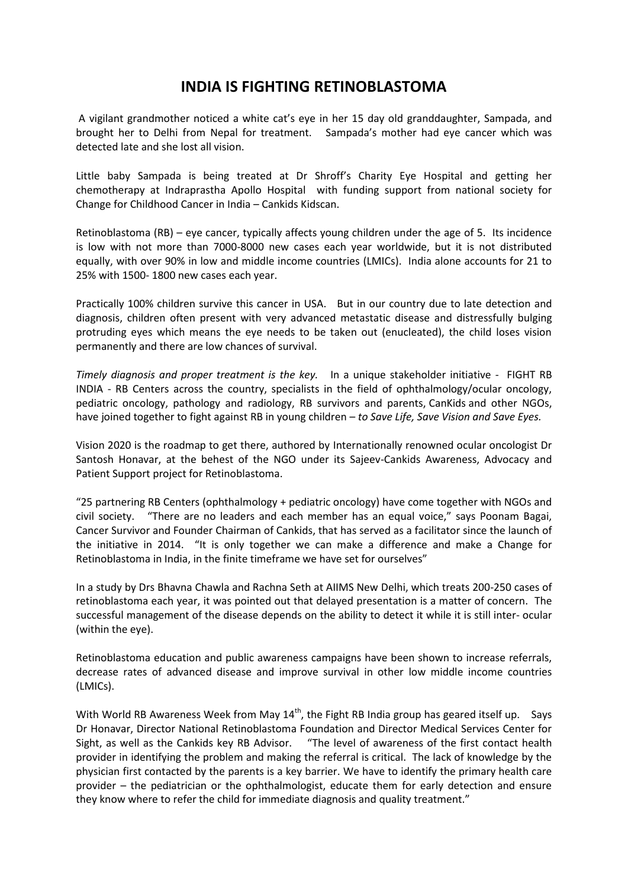## **INDIA IS FIGHTING RETINOBLASTOMA**

A vigilant grandmother noticed a white cat's eye in her 15 day old granddaughter, Sampada, and brought her to Delhi from Nepal for treatment. Sampada's mother had eye cancer which was detected late and she lost all vision.

Little baby Sampada is being treated at Dr Shroff's Charity Eye Hospital and getting her chemotherapy at Indraprastha Apollo Hospital with funding support from national society for Change for Childhood Cancer in India – Cankids Kidscan.

Retinoblastoma (RB) – eye cancer, typically affects young children under the age of 5. Its incidence is low with not more than 7000-8000 new cases each year worldwide, but it is not distributed equally, with over 90% in low and middle income countries (LMICs). India alone accounts for 21 to 25% with 1500- 1800 new cases each year.

Practically 100% children survive this cancer in USA. But in our country due to late detection and diagnosis, children often present with very advanced metastatic disease and distressfully bulging protruding eyes which means the eye needs to be taken out (enucleated), the child loses vision permanently and there are low chances of survival.

*Timely diagnosis and proper treatment is the key.* In a unique stakeholder initiative - FIGHT RB INDIA - RB Centers across the country, specialists in the field of ophthalmology/ocular oncology, pediatric oncology, pathology and radiology, RB survivors and parents, CanKids and other NGOs, have joined together to fight against RB in young children – *to Save Life, Save Vision and Save Eyes.*

Vision 2020 is the roadmap to get there, authored by Internationally renowned ocular oncologist Dr Santosh Honavar, at the behest of the NGO under its Sajeev-Cankids Awareness, Advocacy and Patient Support project for Retinoblastoma.

"25 partnering RB Centers (ophthalmology + pediatric oncology) have come together with NGOs and civil society. "There are no leaders and each member has an equal voice," says Poonam Bagai, Cancer Survivor and Founder Chairman of Cankids, that has served as a facilitator since the launch of the initiative in 2014. "It is only together we can make a difference and make a Change for Retinoblastoma in India, in the finite timeframe we have set for ourselves"

In a study by Drs Bhavna Chawla and Rachna Seth at AIIMS New Delhi, which treats 200-250 cases of retinoblastoma each year, it was pointed out that delayed presentation is a matter of concern. The successful management of the disease depends on the ability to detect it while it is still inter- ocular (within the eye).

Retinoblastoma education and public awareness campaigns have been shown to increase referrals, decrease rates of advanced disease and improve survival in other low middle income countries (LMICs).

With World RB Awareness Week from May  $14^{th}$ , the Fight RB India group has geared itself up. Says Dr Honavar, Director National Retinoblastoma Foundation and Director Medical Services Center for Sight, as well as the Cankids key RB Advisor. "The level of awareness of the first contact health provider in identifying the problem and making the referral is critical. The lack of knowledge by the physician first contacted by the parents is a key barrier. We have to identify the primary health care provider – the pediatrician or the ophthalmologist, educate them for early detection and ensure they know where to refer the child for immediate diagnosis and quality treatment."